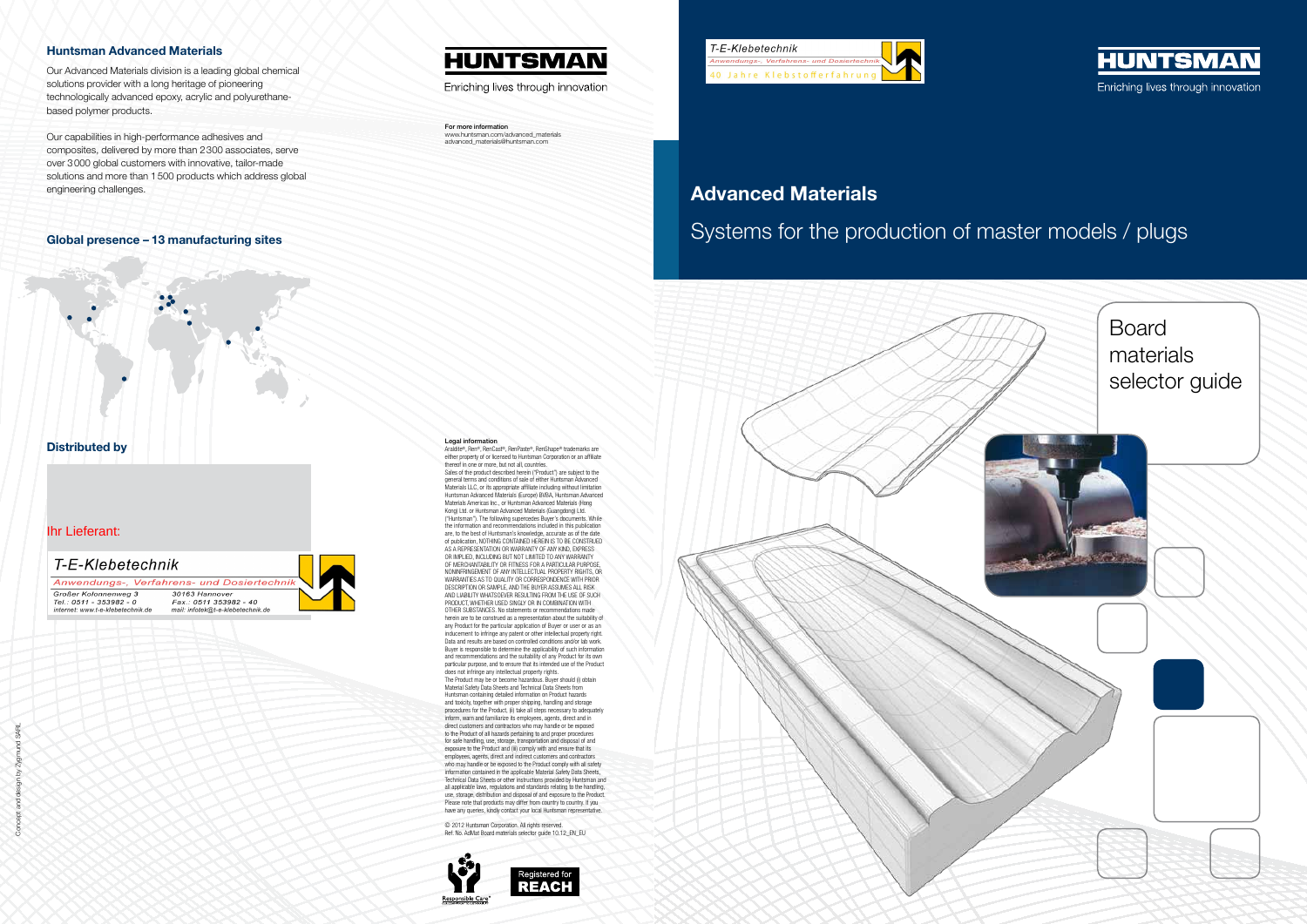## Distributed by

#### Huntsman Advanced Materials

Our Advanced Materials division is a leading global chemical solutions provider with a long heritage of pioneering technologically advanced epoxy, acrylic and polyurethanebased polymer products.

Our capabilities in high-performance adhesives and composites, delivered by more than 2300 associates, serve over 3000 global customers with innovative, tailor-made solutions and more than 1500 products which address global engineering challenges.

#### Global presence – 13 manufacturing sites

For more information www.huntsman.com/advanced\_materials advanced\_materials@huntsman.com



© 2012 Huntsman Corporation. All rights reserved. Ref. No. AdMat Board materials selector guide 10.12\_EN\_EU



Legal information Araldite®, Ren®, RenCast®, RenPaste®, RenShape® trademarks are either property of or licensed to Huntsman Corporation or an affiliate thereof in one or more, but not all, countries. Sales of the product described herein ("Product") are subject to the general terms and conditions of sale of either Huntsman Advanced Materials LLC, or its appropriate affiliate including without limitation Huntsman Advanced Materials (Europe) BVBA, Huntsman Advanced Materials Americas Inc., or Huntsman Advanced Materials (Hong Kong) Ltd. or Huntsman Advanced Materials (Guangdong) Ltd. ("Huntsman"). The following supercedes Buyer's documents. While the information and recommendations included in this publication are, to the best of Huntsman's knowledge, accurate as of the date of publication, NOTHING CONTAINED HEREIN IS TO BE CONSTRUED AS A REPRESENTATION OR WARRANTY OF ANY KIND, EXPRESS OR IMPLIED, INCLUDING BUT NOT LIMITED TO ANY WARRANTY OF MERCHANTABILITY OR FITNESS FOR A PARTICULAR PURPOSE, NONINFRINGEMENT OF ANY INTELLECTUAL PROPERTY RIGHTS, OR WARRANTIES AS TO QUALITY OR CORRESPONDENCE WITH PRIOR DESCRIPTION OR SAMPLE, AND THE BUYER ASSUMES ALL RISK AND LIABILITY WHATSOEVER RESULTING FROM THE USE OF SUCH PRODUCT, WHETHER USED SINGLY OR IN COMBINATION WITH OTHER SUBSTANCES. No statements or recommendations made herein are to be construed as a representation about the suitability of any Product for the particular application of Buyer or user or as an inducement to infringe any patent or other intellectual property right. Data and results are based on controlled conditions and/or lab work. Buyer is responsible to determine the applicability of such information and recommendations and the suitability of any Product for its own particular purpose, and to ensure that its intended use of the Product does not infringe any intellectual property rights. The Product may be or become hazardous. Buyer should (i) obtain Material Safety Data Sheets and Technical Data Sheets from Huntsman containing detailed information on Product hazards and toxicity, together with proper shipping, handling and storage procedures for the Product, (ii) take all steps necessary to adequately inform, warn and familiarize its employees, agents, direct and in direct customers and contractors who may handle or be exposed to the Product of all hazards pertaining to and proper procedures for safe handling, use, storage, transportation and disposal of and exposure to the Product and (iii) comply with and ensure that its employees, agents, direct and indirect customers and contractors who may handle or be exposed to the Product comply with all safety information contained in the applicable Material Safety Data Sheets, Technical Data Sheets or other instructions provided by Huntsman and all applicable laws, regulations and standards relating to the handling, use, storage, distribution and disposal of and exposure to the Product. Please note that products may differ from country to country. If you have any queries, kindly contact your local Huntsman representative.



Enriching lives through innovation



# Advanced Materials

# Systems for the production of master models / plugs

### Ihr Lieferant:

T-E-Klebetechnik Anwendungs-, Verfahrens- und Dosiertechnit 30163 Hannover<br>Fax.: 0511 353982 - 40 **Großer Kolonnenweg 3** Tel.: 0511 - 353982 - 0 internet: www.t-e-klebetechnik.de mail: infotek@t-e-klebetechnik.de



#### Enriching lives through innovation